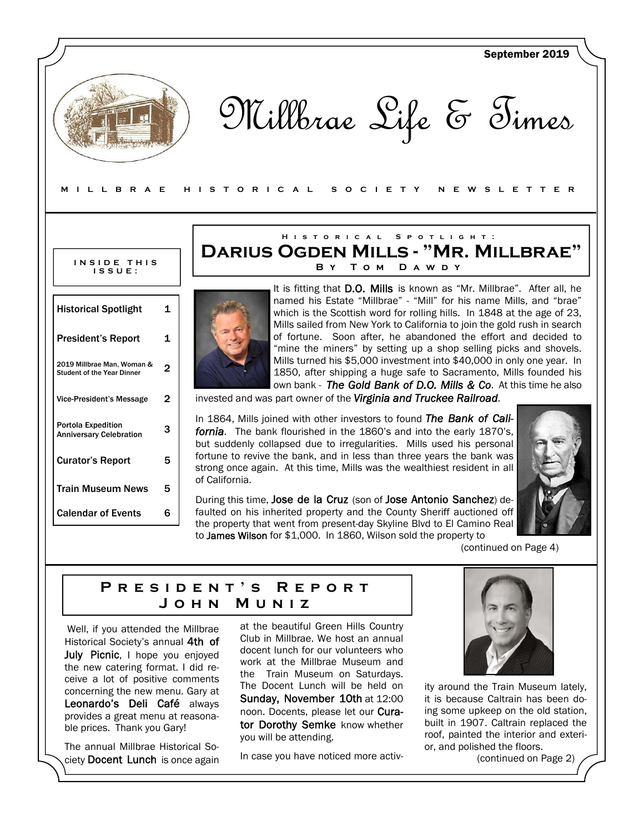

Sunday, November 10th at 12:00 noon. Docents, please let our Curator Dorothy Semke know whether

In case you have noticed more activ-

you will be attending.

concerning the new menu. Gary at Leonardo's Deli Café always provides a great menu at reasonable prices. Thank you Gary!

The annual Millbrae Historical Society Docent Lunch is once again ity around the Train Museum lately, it is because Caltrain has been doing some upkeep on the old station, built in 1907. Caltrain replaced the roof, painted the interior and exterior, and polished the floors.

(continued on Page 2)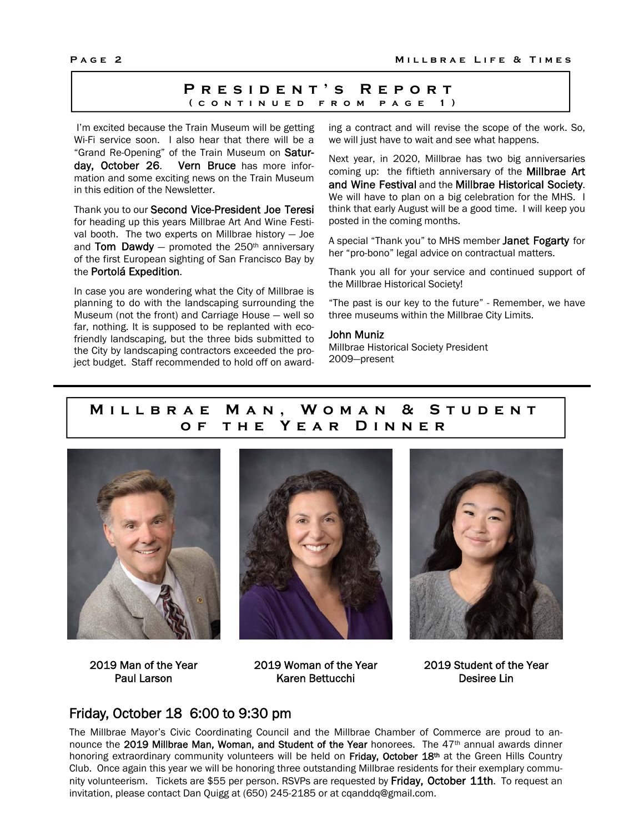### **President's Report (continued from page 1)**

 I'm excited because the Train Museum will be getting Wi-Fi service soon. I also hear that there will be a "Grand Re-Opening" of the Train Museum on Saturday, October 26. Vern Bruce has more information and some exciting news on the Train Museum in this edition of the Newsletter.

Thank you to our Second Vice-President Joe Teresi for heading up this years Millbrae Art And Wine Festival booth. The two experts on Millbrae history — Joe and Tom Dawdy  $-$  promoted the 250<sup>th</sup> anniversary of the first European sighting of San Francisco Bay by the Portolá Expedition.

In case you are wondering what the City of Millbrae is planning to do with the landscaping surrounding the Museum (not the front) and Carriage House — well so far, nothing. It is supposed to be replanted with ecofriendly landscaping, but the three bids submitted to the City by landscaping contractors exceeded the project budget. Staff recommended to hold off on awarding a contract and will revise the scope of the work. So, we will just have to wait and see what happens.

Next year, in 2020, Millbrae has two big anniversaries coming up: the fiftieth anniversary of the **Millbrae Art** and Wine Festival and the Millbrae Historical Society. We will have to plan on a big celebration for the MHS. I think that early August will be a good time. I will keep you posted in the coming months.

A special "Thank you" to MHS member Janet Fogarty for her "pro-bono" legal advice on contractual matters.

Thank you all for your service and continued support of the Millbrae Historical Society!

"The past is our key to the future" - Remember, we have three museums within the Millbrae City Limits.

#### John Muniz

Millbrae Historical Society President 2009—present

# **Millbrae Man, Woman & Student of the Year Dinner**







2019 Man of the Year Paul Larson

2019 Woman of the Year Karen Bettucchi

2019 Student of the Year Desiree Lin

## Friday, October 18 6:00 to 9:30 pm

The Millbrae Mayor's Civic Coordinating Council and the Millbrae Chamber of Commerce are proud to announce the 2019 Millbrae Man, Woman, and Student of the Year honorees. The 47<sup>th</sup> annual awards dinner honoring extraordinary community volunteers will be held on Friday, October 18<sup>th</sup> at the Green Hills Country Club. Once again this year we will be honoring three outstanding Millbrae residents for their exemplary community volunteerism. Tickets are \$55 per person. RSVPs are requested by Friday, October 11th. To request an invitation, please contact Dan Quigg at (650) 245-2185 or at cqanddq@gmail.com.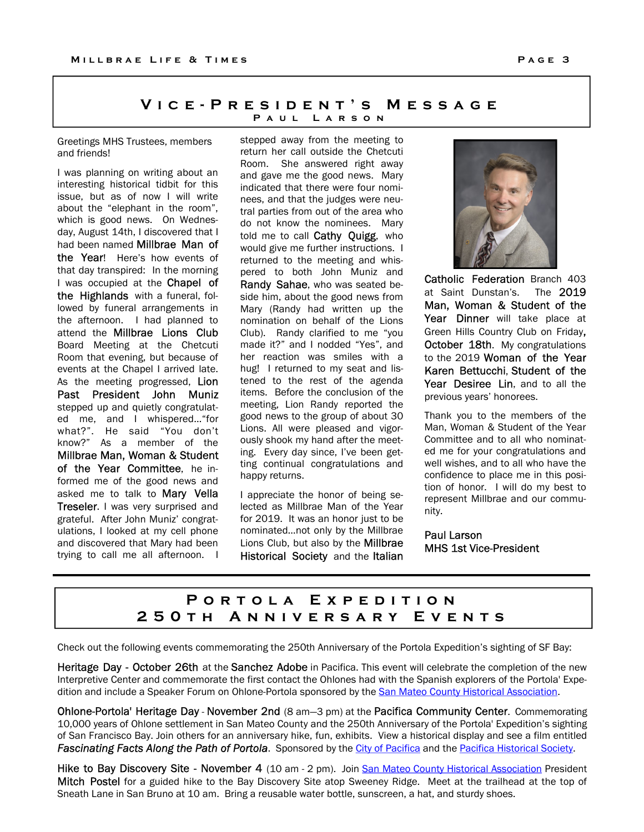### VICE-PRESIDENT'S MESSAGE PAUL LARSON

Greetings MHS Trustees, members and friends!

I was planning on writing about an interesting historical tidbit for this issue, but as of now I will write about the "elephant in the room", which is good news. On Wednesday, August 14th, I discovered that I had been named Millbrae Man of the Year! Here's how events of that day transpired: In the morning I was occupied at the **Chapel of** the Highlands with a funeral, followed by funeral arrangements in the afternoon. I had planned to attend the **Millbrae Lions Club** Board Meeting at the Chetcuti Room that evening, but because of events at the Chapel I arrived late. As the meeting progressed, Lion Past President John Muniz stepped up and quietly congratulated me, and I whispered…"for what?". He said "You don't know?" As a member of the Millbrae Man, Woman & Student of the Year Committee, he informed me of the good news and asked me to talk to Mary Vella **Treseler.** I was very surprised and grateful. After John Muniz' congratulations, I looked at my cell phone and discovered that Mary had been trying to call me all afternoon. I

stepped away from the meeting to return her call outside the Chetcuti Room. She answered right away and gave me the good news. Mary indicated that there were four nominees, and that the judges were neutral parties from out of the area who do not know the nominees. Mary told me to call **Cathy Quigg**, who would give me further instructions. I returned to the meeting and whispered to both John Muniz and Randy Sahae, who was seated beside him, about the good news from Mary (Randy had written up the nomination on behalf of the Lions Club). Randy clarified to me "you made it?" and I nodded "Yes", and her reaction was smiles with a hug! I returned to my seat and listened to the rest of the agenda items. Before the conclusion of the meeting, Lion Randy reported the good news to the group of about 30 Lions. All were pleased and vigorously shook my hand after the meeting. Every day since, I've been getting continual congratulations and happy returns.

I appreciate the honor of being selected as Millbrae Man of the Year for 2019. It was an honor just to be nominated…not only by the Millbrae Lions Club, but also by the Millbrae Historical Society and the Italian



Catholic Federation Branch 403 at Saint Dunstan's. The 2019 Man, Woman & Student of the Year Dinner will take place at Green Hills Country Club on Friday, October 18th. My congratulations to the 2019 Woman of the Year Karen Bettucchi, Student of the Year Desiree Lin, and to all the previous years' honorees.

Thank you to the members of the Man, Woman & Student of the Year Committee and to all who nominated me for your congratulations and well wishes, and to all who have the confidence to place me in this position of honor. I will do my best to represent Millbrae and our community.

Paul Larson MHS 1st Vice-President

# PORTOLA EXPEDITION 250 T H A N N I V E R S A R Y E V E N T S

Check out the following events commemorating the 250th Anniversary of the Portola Expedition's sighting of SF Bay:

Heritage Day - October 26th at the Sanchez Adobe in Pacifica. This event will celebrate the completion of the new Interpretive Center and commemorate the first contact the Ohlones had with the Spanish explorers of the Portola' Expedition and include a Speaker Forum on Ohlone-Portola sponsored by the San Mateo County Historical Association.

Ohlone-Portola' Heritage Day - November 2nd (8 am-3 pm) at the Pacifica Community Center. Commemorating 10,000 years of Ohlone settlement in San Mateo County and the 250th Anniversary of the Portola' Expedition's sighting of San Francisco Bay. Join others for an anniversary hike, fun, exhibits. View a historical display and see a film entitled Fascinating Facts Along the Path of Portola. Sponsored by the City of Pacifica and the Pacifica Historical Society.

Hike to Bay Discovery Site - November 4 (10 am - 2 pm). Join San Mateo County Historical Association President Mitch Postel for a guided hike to the Bay Discovery Site atop Sweeney Ridge. Meet at the trailhead at the top of Sneath Lane in San Bruno at 10 am. Bring a reusable water bottle, sunscreen, a hat, and sturdy shoes.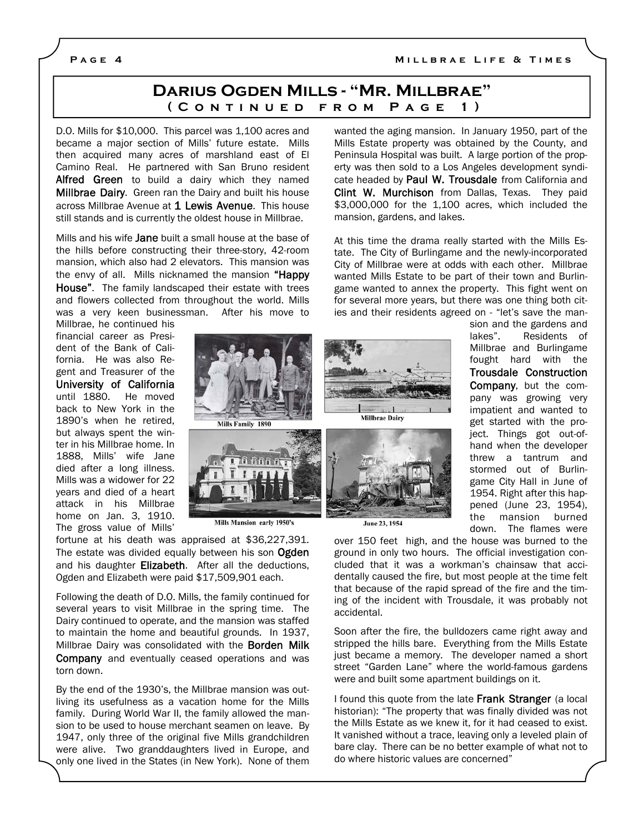## **Darius Ogden Mills - "Mr. Millbrae" (Continued from Page 1)**

D.O. Mills for \$10,000. This parcel was 1,100 acres and became a major section of Mills' future estate. Mills then acquired many acres of marshland east of El Camino Real. He partnered with San Bruno resident Alfred Green to build a dairy which they named **Millbrae Dairy.** Green ran the Dairy and built his house across Millbrae Avenue at 1 Lewis Avenue. This house still stands and is currently the oldest house in Millbrae.

Mills and his wife Jane built a small house at the base of the hills before constructing their three-story, 42-room mansion, which also had 2 elevators. This mansion was the envy of all. Mills nicknamed the mansion "Happy House". The family landscaped their estate with trees and flowers collected from throughout the world. Mills was a very keen businessman. After his move to

Millbrae, he continued his financial career as President of the Bank of California. He was also Regent and Treasurer of the University of California until 1880. He moved back to New York in the 1890's when he retired, but always spent the winter in his Millbrae home. In 1888, Mills' wife Jane died after a long illness. Mills was a widower for 22 years and died of a heart attack in his Millbrae home on Jan. 3, 1910. The gross value of Mills'



Mills Mansion early 1950's

fortune at his death was appraised at \$36,227,391. The estate was divided equally between his son Ogden and his daughter **Elizabeth**. After all the deductions, Ogden and Elizabeth were paid \$17,509,901 each.

Following the death of D.O. Mills, the family continued for several years to visit Millbrae in the spring time. The Dairy continued to operate, and the mansion was staffed to maintain the home and beautiful grounds. In 1937, Millbrae Dairy was consolidated with the **Borden Milk** Company and eventually ceased operations and was torn down.

By the end of the 1930's, the Millbrae mansion was outliving its usefulness as a vacation home for the Mills family. During World War II, the family allowed the mansion to be used to house merchant seamen on leave. By 1947, only three of the original five Mills grandchildren were alive. Two granddaughters lived in Europe, and only one lived in the States (in New York). None of them wanted the aging mansion. In January 1950, part of the Mills Estate property was obtained by the County, and Peninsula Hospital was built. A large portion of the property was then sold to a Los Angeles development syndicate headed by Paul W. Trousdale from California and Clint W. Murchison from Dallas, Texas. They paid \$3,000,000 for the 1,100 acres, which included the mansion, gardens, and lakes.

At this time the drama really started with the Mills Estate. The City of Burlingame and the newly-incorporated City of Millbrae were at odds with each other. Millbrae wanted Mills Estate to be part of their town and Burlingame wanted to annex the property. This fight went on for several more years, but there was one thing both cities and their residents agreed on - "let's save the man-





sion and the gardens and lakes". Residents of Millbrae and Burlingame fought hard with the Trousdale Construction Company, but the company was growing very impatient and wanted to get started with the project. Things got out-ofhand when the developer threw a tantrum and stormed out of Burlingame City Hall in June of 1954. Right after this happened (June 23, 1954), the mansion burned down. The flames were

June 23, 1954

over 150 feet high, and the house was burned to the ground in only two hours. The official investigation concluded that it was a workman's chainsaw that accidentally caused the fire, but most people at the time felt that because of the rapid spread of the fire and the timing of the incident with Trousdale, it was probably not accidental.

Soon after the fire, the bulldozers came right away and stripped the hills bare. Everything from the Mills Estate just became a memory. The developer named a short street "Garden Lane" where the world-famous gardens were and built some apartment buildings on it.

I found this quote from the late Frank Stranger (a local historian): "The property that was finally divided was not the Mills Estate as we knew it, for it had ceased to exist. It vanished without a trace, leaving only a leveled plain of bare clay. There can be no better example of what not to do where historic values are concerned"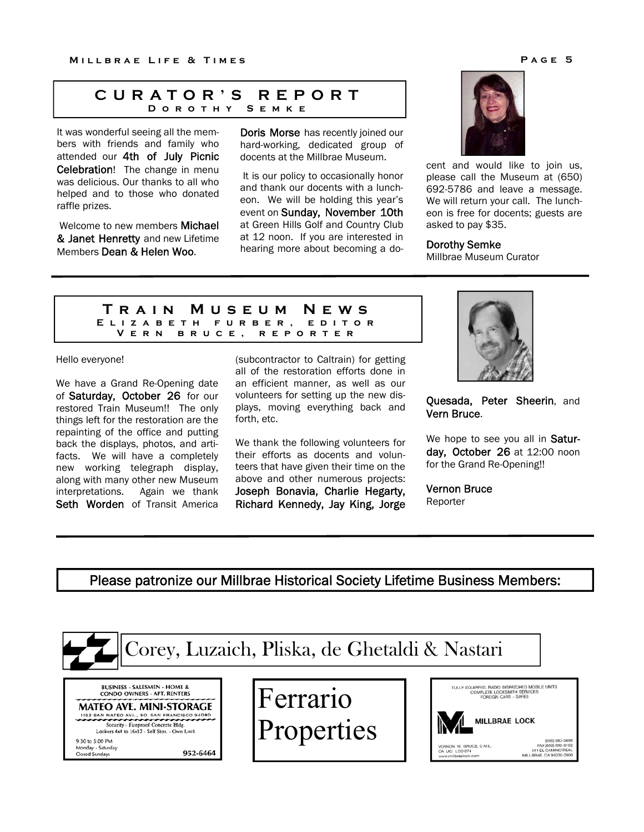## **CURATOR'S REPORT**  DOROTHY

It was wonderful seeing all the members with friends and family who attended our 4th of July Picnic Celebration! The change in menu was delicious. Our thanks to all who helped and to those who donated raffle prizes.

 Welcome to new members Michael & Janet Henretty and new Lifetime Members Dean & Helen Woo.

Doris Morse has recently joined our hard-working, dedicated group of docents at the Millbrae Museum. Ĩ

 It is our policy to occasionally honor and thank our docents with a luncheon. We will be holding this year's event on Sunday, November 10th at Green Hills Golf and Country Club at 12 noon. If you are interested in hearing more about becoming a do-



cent and would like to join us, please call the Museum at (650) 692-5786 and leave a message. We will return your call. The luncheon is free for docents; guests are asked to pay \$35.

## Dorothy Semke

Millbrae Museum Curator

#### **Train Museum News Elizabeth furber, editor Vern bruce, reporter**

#### Hello everyone!

We have a Grand Re-Opening date of Saturday, October 26 for our restored Train Museum!! The only things left for the restoration are the repainting of the office and putting back the displays, photos, and artifacts. We will have a completely new working telegraph display, along with many other new Museum interpretations. Again we thank Seth Worden of Transit America

(subcontractor to Caltrain) for getting all of the restoration efforts done in an efficient manner, as well as our volunteers for setting up the new displays, moving everything back and forth, etc.

We thank the following volunteers for their efforts as docents and volunteers that have given their time on the above and other numerous projects: Joseph Bonavia, Charlie Hegarty, Richard Kennedy, Jay King, Jorge



Quesada, Peter Sheerin, and Vern Bruce.

We hope to see you all in Saturday, October 26 at 12:00 noon for the Grand Re-Opening!!

Vernon Bruce Reporter

## Please patronize our Millbrae Historical Society Lifetime Business Members: